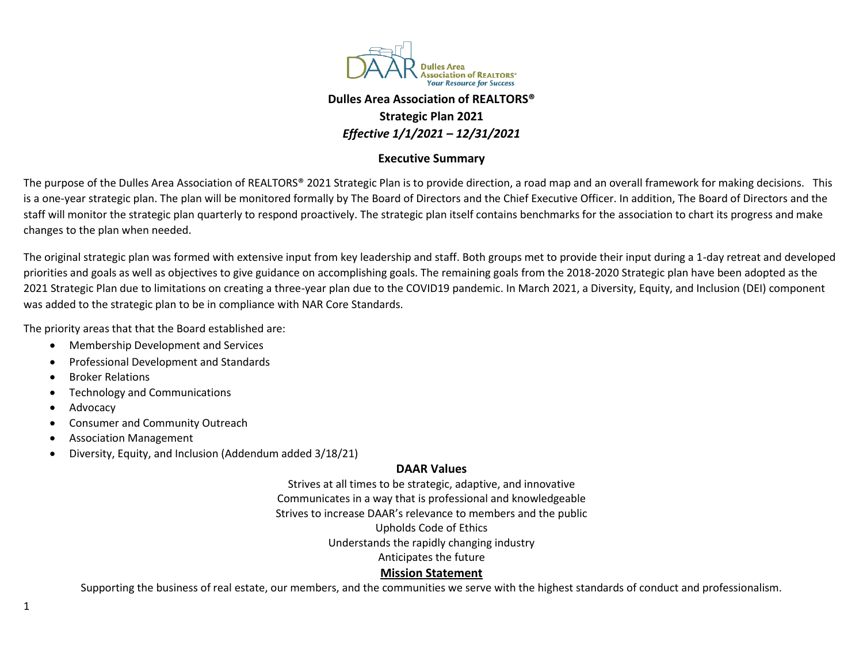

## **Dulles Area Association of REALTORS® Strategic Plan 2021** *Effective 1/1/2021 – 12/31/2021*

## **Executive Summary**

The purpose of the Dulles Area Association of REALTORS® 2021 Strategic Plan is to provide direction, a road map and an overall framework for making decisions. This is a one-year strategic plan. The plan will be monitored formally by The Board of Directors and the Chief Executive Officer. In addition, The Board of Directors and the staff will monitor the strategic plan quarterly to respond proactively. The strategic plan itself contains benchmarks for the association to chart its progress and make changes to the plan when needed.

The original strategic plan was formed with extensive input from key leadership and staff. Both groups met to provide their input during a 1-day retreat and developed priorities and goals as well as objectives to give guidance on accomplishing goals. The remaining goals from the 2018-2020 Strategic plan have been adopted as the 2021 Strategic Plan due to limitations on creating a three-year plan due to the COVID19 pandemic. In March 2021, a Diversity, Equity, and Inclusion (DEI) component was added to the strategic plan to be in compliance with NAR Core Standards.

The priority areas that that the Board established are:

- Membership Development and Services
- Professional Development and Standards
- Broker Relations
- Technology and Communications
- **Advocacy**
- Consumer and Community Outreach
- Association Management
- Diversity, Equity, and Inclusion (Addendum added 3/18/21)

## **DAAR Values**

Strives at all times to be strategic, adaptive, and innovative Communicates in a way that is professional and knowledgeable Strives to increase DAAR's relevance to members and the public Upholds Code of Ethics Understands the rapidly changing industry Anticipates the future **Mission Statement**

Supporting the business of real estate, our members, and the communities we serve with the highest standards of conduct and professionalism.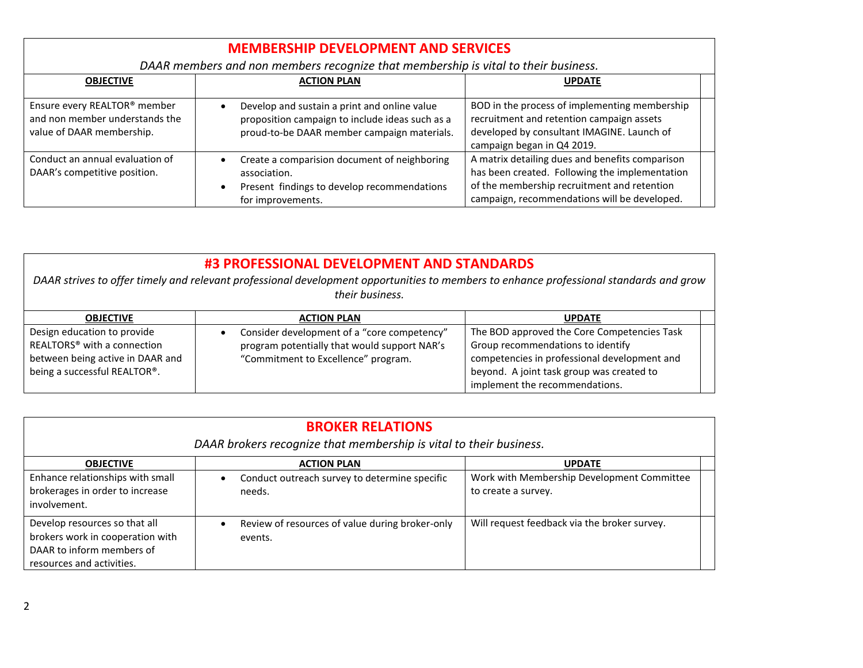| <b>MEMBERSHIP DEVELOPMENT AND SERVICES</b>                                                  |                                                                                                                                                            |                                                                                                                                                                                                  |  |
|---------------------------------------------------------------------------------------------|------------------------------------------------------------------------------------------------------------------------------------------------------------|--------------------------------------------------------------------------------------------------------------------------------------------------------------------------------------------------|--|
| DAAR members and non members recognize that membership is vital to their business.          |                                                                                                                                                            |                                                                                                                                                                                                  |  |
| <b>OBJECTIVE</b>                                                                            | <b>ACTION PLAN</b>                                                                                                                                         | <b>UPDATE</b>                                                                                                                                                                                    |  |
| Ensure every REALTOR® member<br>and non member understands the<br>value of DAAR membership. | Develop and sustain a print and online value<br>proposition campaign to include ideas such as a<br>proud-to-be DAAR member campaign materials.             | BOD in the process of implementing membership<br>recruitment and retention campaign assets<br>developed by consultant IMAGINE. Launch of<br>campaign began in Q4 2019.                           |  |
| Conduct an annual evaluation of<br>DAAR's competitive position.                             | Create a comparision document of neighboring<br>$\bullet$<br>association.<br>Present findings to develop recommendations<br>$\bullet$<br>for improvements. | A matrix detailing dues and benefits comparison<br>has been created. Following the implementation<br>of the membership recruitment and retention<br>campaign, recommendations will be developed. |  |

| #3 PROFESSIONAL DEVELOPMENT AND STANDARDS<br>DAAR strives to offer timely and relevant professional development opportunities to members to enhance professional standards and grow<br>their business. |                                                                                                                                    |                                                                                                                                                                                                                 |  |  |
|--------------------------------------------------------------------------------------------------------------------------------------------------------------------------------------------------------|------------------------------------------------------------------------------------------------------------------------------------|-----------------------------------------------------------------------------------------------------------------------------------------------------------------------------------------------------------------|--|--|
| <b>OBJECTIVE</b>                                                                                                                                                                                       | <b>ACTION PLAN</b>                                                                                                                 | <b>UPDATE</b>                                                                                                                                                                                                   |  |  |
| Design education to provide<br>REALTORS <sup>®</sup> with a connection<br>between being active in DAAR and<br>being a successful REALTOR®.                                                             | Consider development of a "core competency"<br>program potentially that would support NAR's<br>"Commitment to Excellence" program. | The BOD approved the Core Competencies Task<br>Group recommendations to identify<br>competencies in professional development and<br>beyond. A joint task group was created to<br>implement the recommendations. |  |  |

| <b>BROKER RELATIONS</b><br>DAAR brokers recognize that membership is vital to their business.                               |                                                                         |                                                                   |  |
|-----------------------------------------------------------------------------------------------------------------------------|-------------------------------------------------------------------------|-------------------------------------------------------------------|--|
| <b>OBJECTIVE</b>                                                                                                            | <b>ACTION PLAN</b>                                                      | <b>UPDATE</b>                                                     |  |
| Enhance relationships with small<br>brokerages in order to increase<br>involvement.                                         | Conduct outreach survey to determine specific<br>$\bullet$<br>needs.    | Work with Membership Development Committee<br>to create a survey. |  |
| Develop resources so that all<br>brokers work in cooperation with<br>DAAR to inform members of<br>resources and activities. | Review of resources of value during broker-only<br>$\bullet$<br>events. | Will request feedback via the broker survey.                      |  |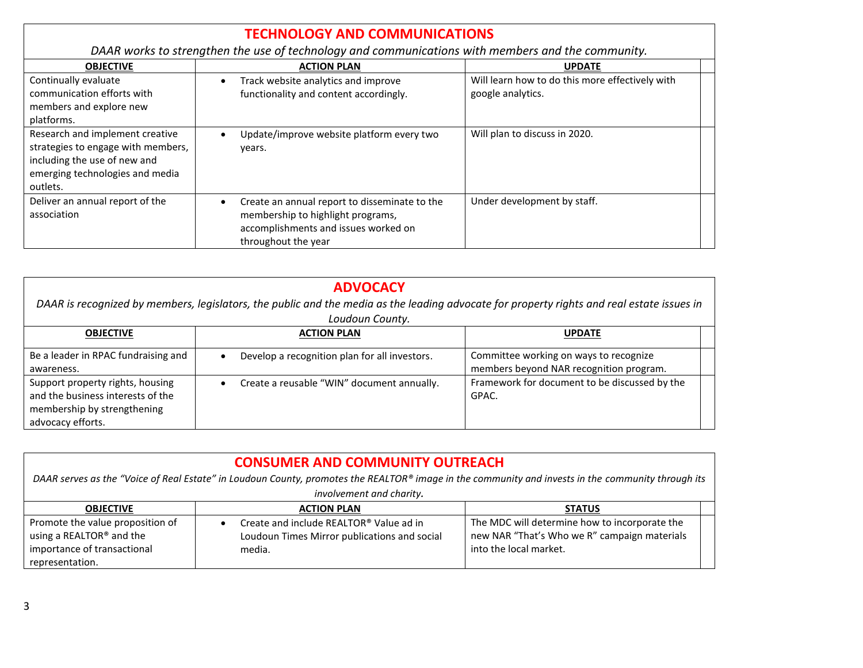|                                                                                                                                                      | <b>TECHNOLOGY AND COMMUNICATIONS</b>                                                                                                              |                                                                      |  |
|------------------------------------------------------------------------------------------------------------------------------------------------------|---------------------------------------------------------------------------------------------------------------------------------------------------|----------------------------------------------------------------------|--|
| DAAR works to strengthen the use of technology and communications with members and the community.                                                    |                                                                                                                                                   |                                                                      |  |
| <b>OBJECTIVE</b>                                                                                                                                     | <b>ACTION PLAN</b>                                                                                                                                | <b>UPDATE</b>                                                        |  |
| Continually evaluate<br>communication efforts with<br>members and explore new<br>platforms.                                                          | Track website analytics and improve<br>functionality and content accordingly.                                                                     | Will learn how to do this more effectively with<br>google analytics. |  |
| Research and implement creative<br>strategies to engage with members,<br>including the use of new and<br>emerging technologies and media<br>outlets. | Update/improve website platform every two<br>years.                                                                                               | Will plan to discuss in 2020.                                        |  |
| Deliver an annual report of the<br>association                                                                                                       | Create an annual report to disseminate to the<br>membership to highlight programs,<br>accomplishments and issues worked on<br>throughout the year | Under development by staff.                                          |  |

| <b>ADVOCACY</b><br>DAAR is recognized by members, legislators, the public and the media as the leading advocate for property rights and real estate issues in<br>Loudoun County. |                                                         |                                                                                   |  |
|----------------------------------------------------------------------------------------------------------------------------------------------------------------------------------|---------------------------------------------------------|-----------------------------------------------------------------------------------|--|
| <b>OBJECTIVE</b>                                                                                                                                                                 | <b>ACTION PLAN</b>                                      | <b>UPDATE</b>                                                                     |  |
| Be a leader in RPAC fundraising and<br>awareness.                                                                                                                                | Develop a recognition plan for all investors.           | Committee working on ways to recognize<br>members beyond NAR recognition program. |  |
| Support property rights, housing<br>and the business interests of the<br>membership by strengthening<br>advocacy efforts.                                                        | Create a reusable "WIN" document annually.<br>$\bullet$ | Framework for document to be discussed by the<br>GPAC.                            |  |

| <b>CONSUMER AND COMMUNITY OUTREACH</b>                                                                                                             |                                                                                                                |                                                                                                                         |  |
|----------------------------------------------------------------------------------------------------------------------------------------------------|----------------------------------------------------------------------------------------------------------------|-------------------------------------------------------------------------------------------------------------------------|--|
| DAAR serves as the "Voice of Real Estate" in Loudoun County, promotes the REALTOR® image in the community and invests in the community through its |                                                                                                                |                                                                                                                         |  |
| involvement and charity.                                                                                                                           |                                                                                                                |                                                                                                                         |  |
| <b>OBJECTIVE</b>                                                                                                                                   | <b>ACTION PLAN</b>                                                                                             | <b>STATUS</b>                                                                                                           |  |
| Promote the value proposition of<br>using a REALTOR <sup>®</sup> and the<br>importance of transactional<br>representation.                         | Create and include REALTOR® Value ad in<br>$\bullet$<br>Loudoun Times Mirror publications and social<br>media. | The MDC will determine how to incorporate the<br>new NAR "That's Who we R" campaign materials<br>into the local market. |  |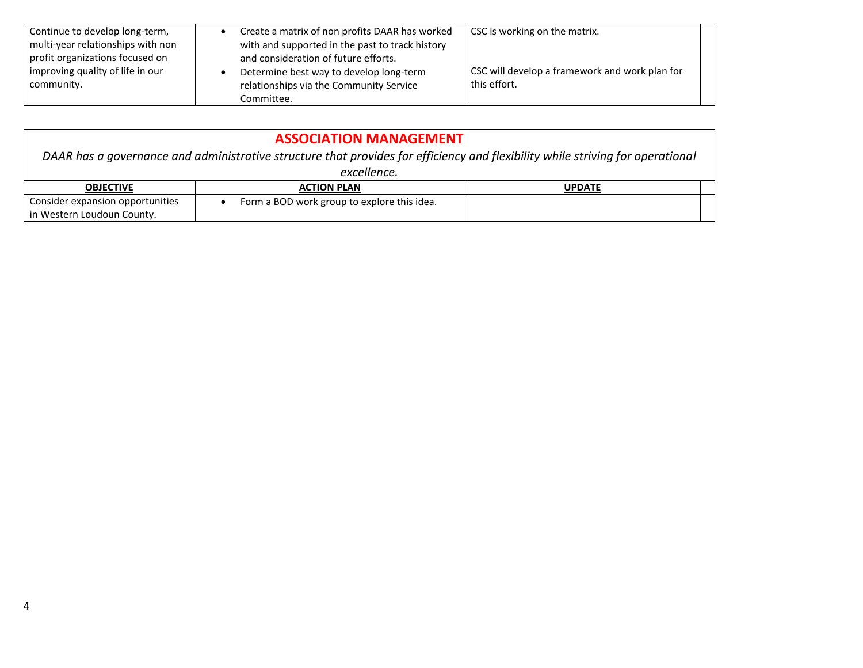| Continue to develop long-term,<br>multi-year relationships with non               | Create a matrix of non profits DAAR has worked<br>with and supported in the past to track history                          | CSC is working on the matrix.                                  |  |
|-----------------------------------------------------------------------------------|----------------------------------------------------------------------------------------------------------------------------|----------------------------------------------------------------|--|
| profit organizations focused on<br>improving quality of life in our<br>community. | and consideration of future efforts.<br>Determine best way to develop long-term<br>relationships via the Community Service | CSC will develop a framework and work plan for<br>this effort. |  |
|                                                                                   | Committee.                                                                                                                 |                                                                |  |

| <b>ASSOCIATION MANAGEMENT</b>                                                                                                  |                                             |               |  |
|--------------------------------------------------------------------------------------------------------------------------------|---------------------------------------------|---------------|--|
| DAAR has a governance and administrative structure that provides for efficiency and flexibility while striving for operational |                                             |               |  |
| excellence.                                                                                                                    |                                             |               |  |
| <b>OBJECTIVE</b>                                                                                                               | <b>ACTION PLAN</b>                          | <b>UPDATE</b> |  |
| Consider expansion opportunities                                                                                               | Form a BOD work group to explore this idea. |               |  |
| in Western Loudoun County.                                                                                                     |                                             |               |  |